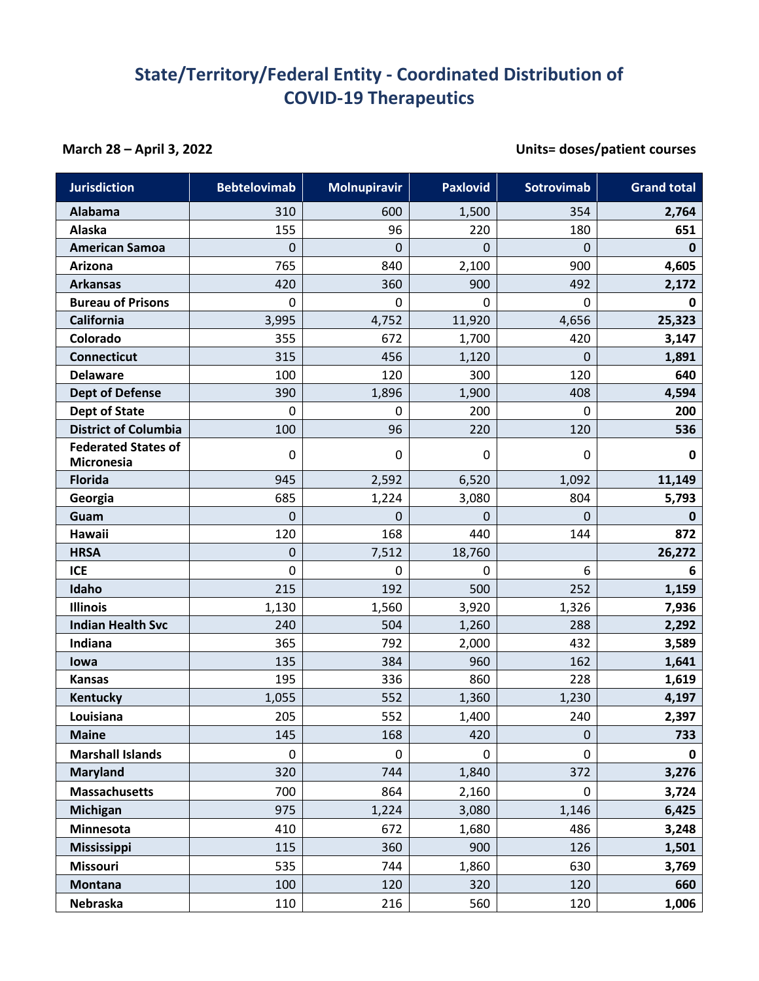## **State/Territory/Federal Entity - Coordinated Distribution of COVID-19 Therapeutics**

## **March 28 – April 3, 2022 Units= doses/patient courses**

| <b>Jurisdiction</b>                             | <b>Bebtelovimab</b> | <b>Molnupiravir</b> | <b>Paxlovid</b> | Sotrovimab  | <b>Grand total</b> |
|-------------------------------------------------|---------------------|---------------------|-----------------|-------------|--------------------|
| Alabama                                         | 310                 | 600                 | 1,500           | 354         | 2,764              |
| Alaska                                          | 155                 | 96                  | 220             | 180         | 651                |
| <b>American Samoa</b>                           | 0                   | 0                   | 0               | $\mathbf 0$ | $\mathbf 0$        |
| <b>Arizona</b>                                  | 765                 | 840                 | 2,100           | 900         | 4,605              |
| <b>Arkansas</b>                                 | 420                 | 360                 | 900             | 492         | 2,172              |
| <b>Bureau of Prisons</b>                        | 0                   | 0                   | $\mathbf 0$     | $\mathbf 0$ | 0                  |
| California                                      | 3,995               | 4,752               | 11,920          | 4,656       | 25,323             |
| Colorado                                        | 355                 | 672                 | 1,700           | 420         | 3,147              |
| <b>Connecticut</b>                              | 315                 | 456                 | 1,120           | $\mathbf 0$ | 1,891              |
| <b>Delaware</b>                                 | 100                 | 120                 | 300             | 120         | 640                |
| <b>Dept of Defense</b>                          | 390                 | 1,896               | 1,900           | 408         | 4,594              |
| <b>Dept of State</b>                            | 0                   | 0                   | 200             | 0           | 200                |
| <b>District of Columbia</b>                     | 100                 | 96                  | 220             | 120         | 536                |
| <b>Federated States of</b><br><b>Micronesia</b> | 0                   | 0                   | $\mathbf 0$     | 0           | $\mathbf 0$        |
| <b>Florida</b>                                  | 945                 | 2,592               | 6,520           | 1,092       | 11,149             |
| Georgia                                         | 685                 | 1,224               | 3,080           | 804         | 5,793              |
| Guam                                            | 0                   | 0                   | $\mathbf 0$     | $\mathbf 0$ | $\mathbf 0$        |
| Hawaii                                          | 120                 | 168                 | 440             | 144         | 872                |
| <b>HRSA</b>                                     | 0                   | 7,512               | 18,760          |             | 26,272             |
| <b>ICE</b>                                      | 0                   | 0                   | 0               | 6           | 6                  |
| Idaho                                           | 215                 | 192                 | 500             | 252         | 1,159              |
| <b>Illinois</b>                                 | 1,130               | 1,560               | 3,920           | 1,326       | 7,936              |
| <b>Indian Health Svc</b>                        | 240                 | 504                 | 1,260           | 288         | 2,292              |
| Indiana                                         | 365                 | 792                 | 2,000           | 432         | 3,589              |
| lowa                                            | 135                 | 384                 | 960             | 162         | 1,641              |
| <b>Kansas</b>                                   | 195                 | 336                 | 860             | 228         | 1,619              |
| Kentucky                                        | 1,055               | 552                 | 1,360           | 1,230       | 4,197              |
| Louisiana                                       | 205                 | 552                 | 1,400           | 240         | 2,397              |
| <b>Maine</b>                                    | 145                 | 168                 | 420             | $\pmb{0}$   | 733                |
| <b>Marshall Islands</b>                         | 0                   | 0                   | 0               | 0           | 0                  |
| <b>Maryland</b>                                 | 320                 | 744                 | 1,840           | 372         | 3,276              |
| <b>Massachusetts</b>                            | 700                 | 864                 | 2,160           | $\mathbf 0$ | 3,724              |
| <b>Michigan</b>                                 | 975                 | 1,224               | 3,080           | 1,146       | 6,425              |
| Minnesota                                       | 410                 | 672                 | 1,680           | 486         | 3,248              |
| Mississippi                                     | 115                 | 360                 | 900             | 126         | 1,501              |
| <b>Missouri</b>                                 | 535                 | 744                 | 1,860           | 630         | 3,769              |
| <b>Montana</b>                                  | 100                 | 120                 | 320             | 120         | 660                |
| Nebraska                                        | 110                 | 216                 | 560             | 120         | 1,006              |